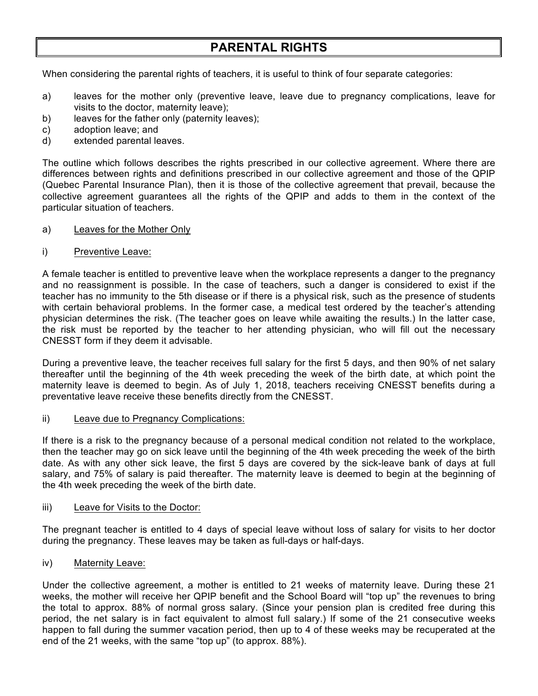# **PARENTAL RIGHTS**

When considering the parental rights of teachers, it is useful to think of four separate categories:

- a) leaves for the mother only (preventive leave, leave due to pregnancy complications, leave for visits to the doctor, maternity leave);
- b) leaves for the father only (paternity leaves);
- c) adoption leave; and
- d) extended parental leaves.

The outline which follows describes the rights prescribed in our collective agreement. Where there are differences between rights and definitions prescribed in our collective agreement and those of the QPIP (Quebec Parental Insurance Plan), then it is those of the collective agreement that prevail, because the collective agreement guarantees all the rights of the QPIP and adds to them in the context of the particular situation of teachers.

- a) Leaves for the Mother Only
- i) Preventive Leave:

A female teacher is entitled to preventive leave when the workplace represents a danger to the pregnancy and no reassignment is possible. In the case of teachers, such a danger is considered to exist if the teacher has no immunity to the 5th disease or if there is a physical risk, such as the presence of students with certain behavioral problems. In the former case, a medical test ordered by the teacher's attending physician determines the risk. (The teacher goes on leave while awaiting the results.) In the latter case, the risk must be reported by the teacher to her attending physician, who will fill out the necessary CNESST form if they deem it advisable.

During a preventive leave, the teacher receives full salary for the first 5 days, and then 90% of net salary thereafter until the beginning of the 4th week preceding the week of the birth date, at which point the maternity leave is deemed to begin. As of July 1, 2018, teachers receiving CNESST benefits during a preventative leave receive these benefits directly from the CNESST.

ii) Leave due to Pregnancy Complications:

If there is a risk to the pregnancy because of a personal medical condition not related to the workplace, then the teacher may go on sick leave until the beginning of the 4th week preceding the week of the birth date. As with any other sick leave, the first 5 days are covered by the sick-leave bank of days at full salary, and 75% of salary is paid thereafter. The maternity leave is deemed to begin at the beginning of the 4th week preceding the week of the birth date.

### iii) Leave for Visits to the Doctor:

The pregnant teacher is entitled to 4 days of special leave without loss of salary for visits to her doctor during the pregnancy. These leaves may be taken as full-days or half-days.

iv) Maternity Leave:

Under the collective agreement, a mother is entitled to 21 weeks of maternity leave. During these 21 weeks, the mother will receive her QPIP benefit and the School Board will "top up" the revenues to bring the total to approx. 88% of normal gross salary. (Since your pension plan is credited free during this period, the net salary is in fact equivalent to almost full salary.) If some of the 21 consecutive weeks happen to fall during the summer vacation period, then up to 4 of these weeks may be recuperated at the end of the 21 weeks, with the same "top up" (to approx. 88%).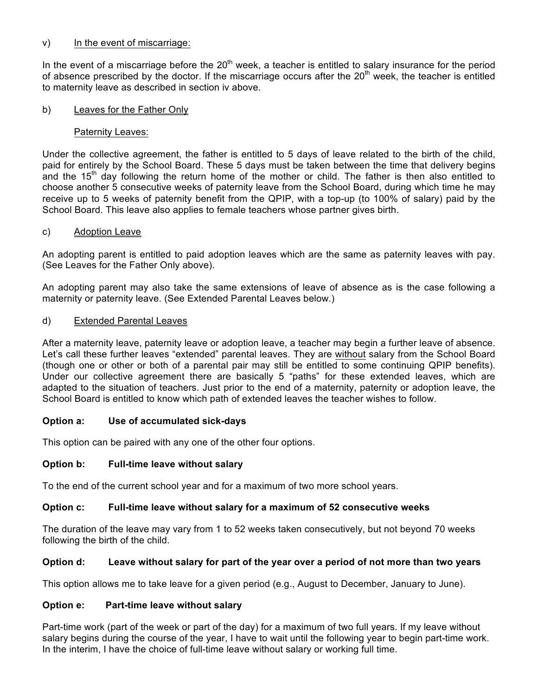## v) In the event of miscarriage:

In the event of a miscarriage before the  $20<sup>th</sup>$  week, a teacher is entitled to salary insurance for the period of absence prescribed by the doctor. If the miscarriage occurs after the 20<sup>th</sup> week, the teacher is entitled to maternity leave as described in section iv above.

### b) Leaves for the Father Only

### Paternity Leaves:

Under the collective agreement, the father is entitled to 5 days of leave related to the birth of the child, paid for entirely by the School Board. These 5 days must be taken between the time that delivery begins and the 15<sup>th</sup> day following the return home of the mother or child. The father is then also entitled to choose another 5 consecutive weeks of paternity leave from the School Board, during which time he may receive up to 5 weeks of paternity benefit from the QPIP, with a top-up (to 100% of salary) paid by the School Board. This leave also applies to female teachers whose partner gives birth.

# c) Adoption Leave

An adopting parent is entitled to paid adoption leaves which are the same as paternity leaves with pay. (See Leaves for the Father Only above).

An adopting parent may also take the same extensions of leave of absence as is the case following a maternity or paternity leave. (See Extended Parental Leaves below.)

## d) Extended Parental Leaves

After a maternity leave, paternity leave or adoption leave, a teacher may begin a further leave of absence. Let's call these further leaves "extended" parental leaves. They are without salary from the School Board (though one or other or both of a parental pair may still be entitled to some continuing QPIP benefits). Under our collective agreement there are basically 5 "paths" for these extended leaves, which are adapted to the situation of teachers. Just prior to the end of a maternity, paternity or adoption leave, the School Board is entitled to know which path of extended leaves the teacher wishes to follow.

# **Option a: Use of accumulated sick-days**

This option can be paired with any one of the other four options.

# **Option b: Full-time leave without salary**

To the end of the current school year and for a maximum of two more school years.

#### **Option c: Full-time leave without salary for a maximum of 52 consecutive weeks**

The duration of the leave may vary from 1 to 52 weeks taken consecutively, but not beyond 70 weeks following the birth of the child.

#### **Option d: Leave without salary for part of the year over a period of not more than two years**

This option allows me to take leave for a given period (e.g., August to December, January to June).

# **Option e: Part-time leave without salary**

Part-time work (part of the week or part of the day) for a maximum of two full years. If my leave without salary begins during the course of the year, I have to wait until the following year to begin part-time work. In the interim, I have the choice of full-time leave without salary or working full time.